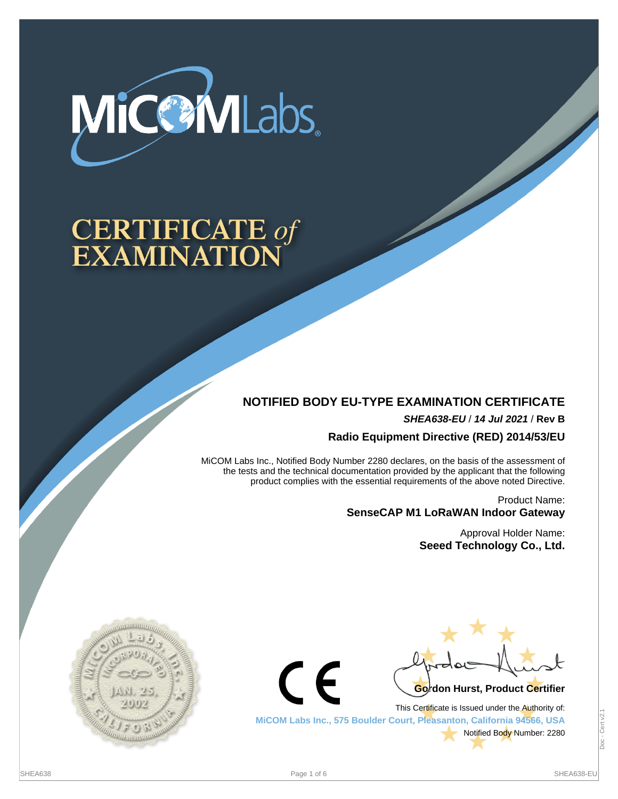

# **CERTIFICATE of<br>EXAMINATION**

## **NOTIFIED BODY EU-TYPE EXAMINATION CERTIFICATE**

**SHEA638-EU** / **14 Jul 2021** / **Rev B**

**Radio Equipment Directive (RED) 2014/53/EU**

MiCOM Labs Inc., Notified Body Number 2280 declares, on the basis of the assessment of the tests and the technical documentation provided by the applicant that the following product complies with the essential requirements of the above noted Directive.

> Product Name: **SenseCAP M1 LoRaWAN Indoor Gateway**

> > Approval Holder Name: **Seeed Technology Co., Ltd.**





This Certificate is Issued under the Authority of: **MiCOM Labs Inc., 575 Boulder Court, Pleasanton, California 94566, USA** Notified Body Number: 2280

(  $\epsilon$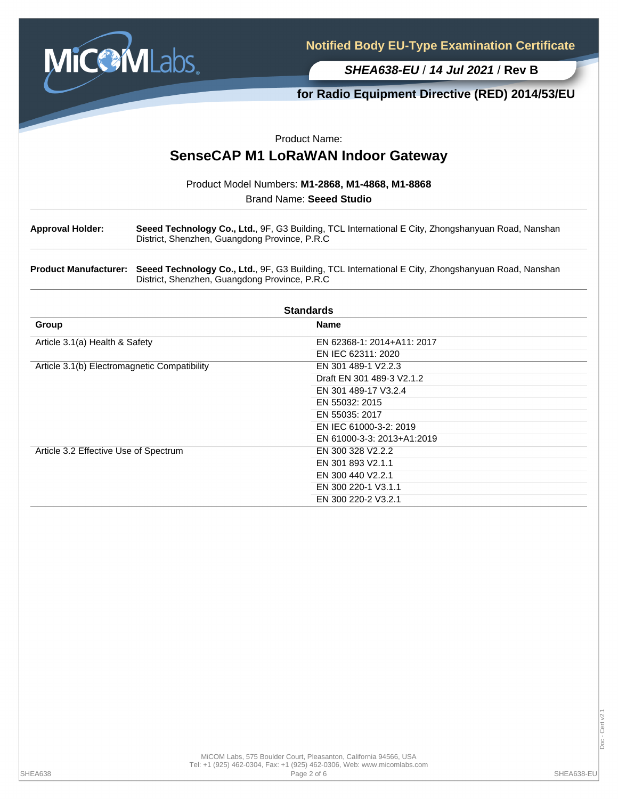

## **for Radio Equipment Directive (RED) 2014/53/EU**

Product Name:

# **SenseCAP M1 LoRaWAN Indoor Gateway**

Product Model Numbers: **M1-2868, M1-4868, M1-8868**

Brand Name: **Seeed Studio**

**Approval Holder: Seeed Technology Co., Ltd.**, 9F, G3 Building, TCL International E City, Zhongshanyuan Road, Nanshan District, Shenzhen, Guangdong Province, P.R.C

**Product Manufacturer: Seeed Technology Co., Ltd.**, 9F, G3 Building, TCL International E City, Zhongshanyuan Road, Nanshan District, Shenzhen, Guangdong Province, P.R.C

| <b>Standards</b>                             |                            |  |  |  |  |
|----------------------------------------------|----------------------------|--|--|--|--|
| Group                                        | <b>Name</b>                |  |  |  |  |
| Article 3.1(a) Health & Safety               | EN 62368-1: 2014+A11: 2017 |  |  |  |  |
|                                              | EN IEC 62311: 2020         |  |  |  |  |
| Article 3.1(b) Electromagnetic Compatibility | EN 301 489-1 V2.2.3        |  |  |  |  |
|                                              | Draft EN 301 489-3 V2.1.2  |  |  |  |  |
|                                              | EN 301 489-17 V3.2.4       |  |  |  |  |
|                                              | EN 55032: 2015             |  |  |  |  |
|                                              | EN 55035: 2017             |  |  |  |  |
|                                              | EN IEC 61000-3-2: 2019     |  |  |  |  |
|                                              | EN 61000-3-3: 2013+A1:2019 |  |  |  |  |
| Article 3.2 Effective Use of Spectrum        | EN 300 328 V2.2.2          |  |  |  |  |
|                                              | EN 301 893 V2.1.1          |  |  |  |  |
|                                              | EN 300 440 V2.2.1          |  |  |  |  |
|                                              | EN 300 220-1 V3.1.1        |  |  |  |  |
|                                              | EN 300 220-2 V3.2.1        |  |  |  |  |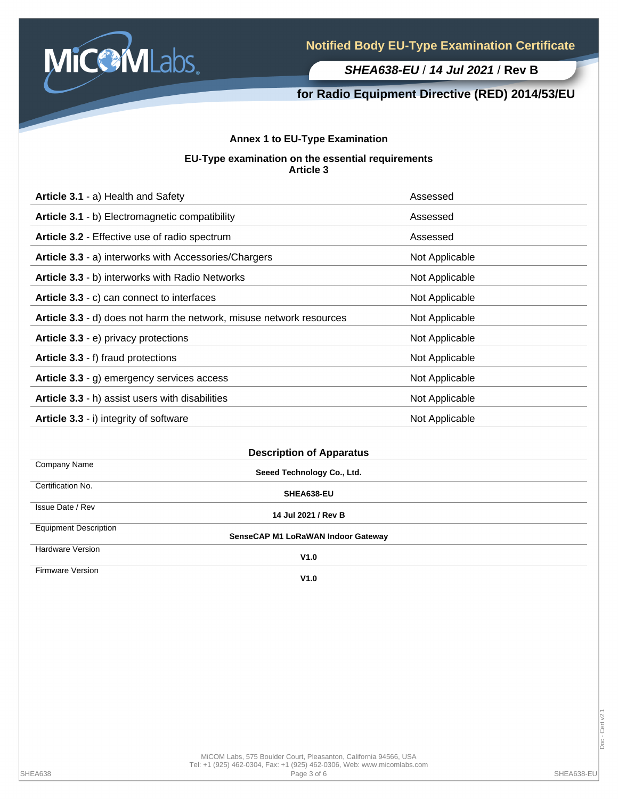

## **for Radio Equipment Directive (RED) 2014/53/EU**

### **Annex 1 to EU-Type Examination**

#### **EU-Type examination on the essential requirements Article 3**

| Article 3.1 - a) Health and Safety                                   | Assessed       |  |  |
|----------------------------------------------------------------------|----------------|--|--|
| Article 3.1 - b) Electromagnetic compatibility                       | Assessed       |  |  |
| Article 3.2 - Effective use of radio spectrum                        | Assessed       |  |  |
| Article 3.3 - a) interworks with Accessories/Chargers                | Not Applicable |  |  |
| Article 3.3 - b) interworks with Radio Networks                      | Not Applicable |  |  |
| Article 3.3 - c) can connect to interfaces                           | Not Applicable |  |  |
| Article 3.3 - d) does not harm the network, misuse network resources | Not Applicable |  |  |
| Article 3.3 - e) privacy protections                                 | Not Applicable |  |  |
| Article 3.3 - f) fraud protections                                   | Not Applicable |  |  |
| Article 3.3 - g) emergency services access                           | Not Applicable |  |  |
| Article 3.3 - h) assist users with disabilities                      | Not Applicable |  |  |
| Article 3.3 - i) integrity of software                               | Not Applicable |  |  |
|                                                                      |                |  |  |

| <b>Description of Apparatus</b> |                                    |  |  |  |
|---------------------------------|------------------------------------|--|--|--|
| Company Name                    | Seeed Technology Co., Ltd.         |  |  |  |
| Certification No.               | SHEA638-EU                         |  |  |  |
| Issue Date / Rev                | 14 Jul 2021 / Rev B                |  |  |  |
| <b>Equipment Description</b>    | SenseCAP M1 LoRaWAN Indoor Gateway |  |  |  |
| <b>Hardware Version</b>         | V1.0                               |  |  |  |
| Firmware Version                |                                    |  |  |  |

**V1.0**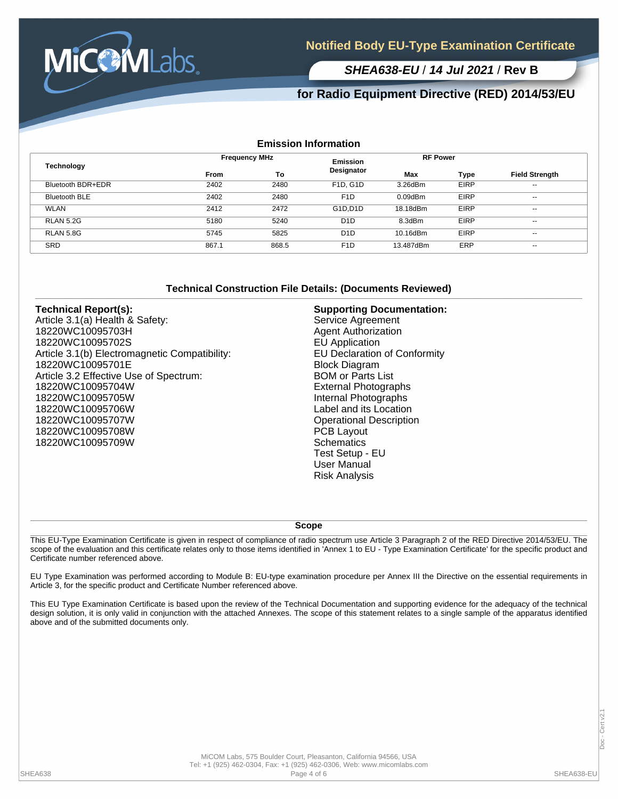

## **for Radio Equipment Directive (RED) 2014/53/EU**

#### **Emission Information**

| <b>Technology</b>    |             | <b>Frequency MHz</b> |                                    | <b>RF Power</b> |             |                          |
|----------------------|-------------|----------------------|------------------------------------|-----------------|-------------|--------------------------|
|                      | <b>From</b> | To                   | Designator                         | Max             | Type        | <b>Field Strength</b>    |
| Bluetooth BDR+EDR    | 2402        | 2480                 | F <sub>1</sub> D. G <sub>1</sub> D | 3.26dBm         | <b>EIRP</b> | $\overline{\phantom{a}}$ |
| <b>Bluetooth BLE</b> | 2402        | 2480                 | F <sub>1</sub> D                   | $0.09$ d $Bm$   | <b>EIRP</b> | $\sim$                   |
| <b>WLAN</b>          | 2412        | 2472                 | G1D.D1D                            | 18.18dBm        | <b>EIRP</b> | $\overline{\phantom{a}}$ |
| <b>RLAN 5.2G</b>     | 5180        | 5240                 | D <sub>1</sub> D                   | 8.3dBm          | <b>EIRP</b> | $\overline{\phantom{a}}$ |
| <b>RLAN 5.8G</b>     | 5745        | 5825                 | D <sub>1</sub> D                   | 10.16dBm        | <b>EIRP</b> | $\overline{\phantom{a}}$ |
| <b>SRD</b>           | 867.1       | 868.5                | F <sub>1</sub> D                   | 13.487dBm       | ERP         | $\overline{\phantom{a}}$ |

#### **Technical Construction File Details: (Documents Reviewed)**

#### **Technical Report(s):**

Article 3.1(a) Health & Safety: 18220WC10095703H 18220WC10095702S Article 3.1(b) Electromagnetic Compatibility: 18220WC10095701E Article 3.2 Effective Use of Spectrum: 18220WC10095704W 18220WC10095705W 18220WC10095706W 18220WC10095707W 18220WC10095708W 18220WC10095709W

#### **Supporting Documentation:**

Service Agreement Agent Authorization EU Application EU Declaration of Conformity Block Diagram BOM or Parts List External Photographs Internal Photographs Label and its Location Operational Description PCB Layout **Schematics** Test Setup - EU User Manual Risk Analysis

#### **Scope**

This EU-Type Examination Certificate is given in respect of compliance of radio spectrum use Article 3 Paragraph 2 of the RED Directive 2014/53/EU. The scope of the evaluation and this certificate relates only to those items identified in 'Annex 1 to EU - Type Examination Certificate' for the specific product and Certificate number referenced above.

EU Type Examination was performed according to Module B: EU-type examination procedure per Annex III the Directive on the essential requirements in Article 3, for the specific product and Certificate Number referenced above.

This EU Type Examination Certificate is based upon the review of the Technical Documentation and supporting evidence for the adequacy of the technical design solution, it is only valid in conjunction with the attached Annexes. The scope of this statement relates to a single sample of the apparatus identified above and of the submitted documents only.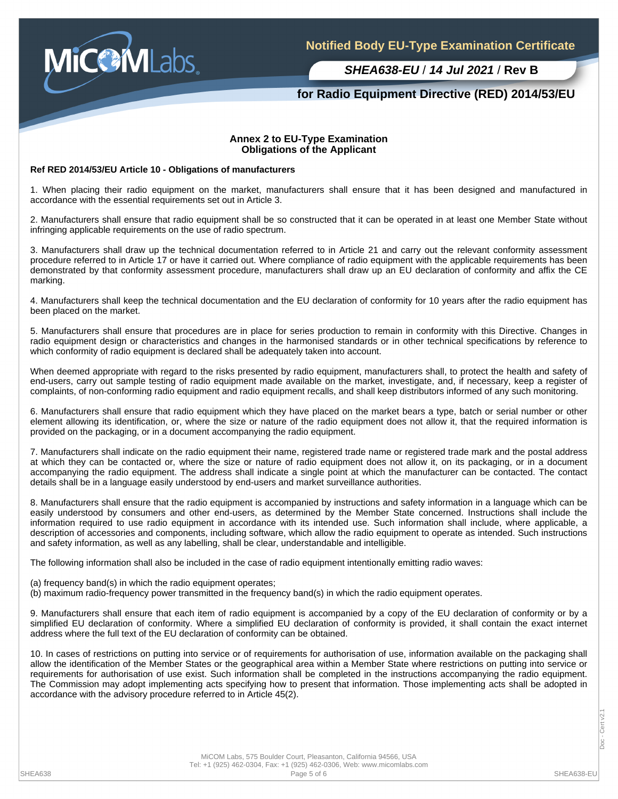

## **for Radio Equipment Directive (RED) 2014/53/EU**

#### **Annex 2 to EU-Type Examination Obligations of the Applicant**

#### **Ref RED 2014/53/EU Article 10 - Obligations of manufacturers**

1. When placing their radio equipment on the market, manufacturers shall ensure that it has been designed and manufactured in accordance with the essential requirements set out in Article 3.

2. Manufacturers shall ensure that radio equipment shall be so constructed that it can be operated in at least one Member State without infringing applicable requirements on the use of radio spectrum.

3. Manufacturers shall draw up the technical documentation referred to in Article 21 and carry out the relevant conformity assessment procedure referred to in Article 17 or have it carried out. Where compliance of radio equipment with the applicable requirements has been demonstrated by that conformity assessment procedure, manufacturers shall draw up an EU declaration of conformity and affix the CE marking.

4. Manufacturers shall keep the technical documentation and the EU declaration of conformity for 10 years after the radio equipment has been placed on the market.

5. Manufacturers shall ensure that procedures are in place for series production to remain in conformity with this Directive. Changes in radio equipment design or characteristics and changes in the harmonised standards or in other technical specifications by reference to which conformity of radio equipment is declared shall be adequately taken into account.

When deemed appropriate with regard to the risks presented by radio equipment, manufacturers shall, to protect the health and safety of end-users, carry out sample testing of radio equipment made available on the market, investigate, and, if necessary, keep a register of complaints, of non-conforming radio equipment and radio equipment recalls, and shall keep distributors informed of any such monitoring.

6. Manufacturers shall ensure that radio equipment which they have placed on the market bears a type, batch or serial number or other element allowing its identification, or, where the size or nature of the radio equipment does not allow it, that the required information is provided on the packaging, or in a document accompanying the radio equipment.

7. Manufacturers shall indicate on the radio equipment their name, registered trade name or registered trade mark and the postal address at which they can be contacted or, where the size or nature of radio equipment does not allow it, on its packaging, or in a document accompanying the radio equipment. The address shall indicate a single point at which the manufacturer can be contacted. The contact details shall be in a language easily understood by end-users and market surveillance authorities.

8. Manufacturers shall ensure that the radio equipment is accompanied by instructions and safety information in a language which can be easily understood by consumers and other end-users, as determined by the Member State concerned. Instructions shall include the information required to use radio equipment in accordance with its intended use. Such information shall include, where applicable, a description of accessories and components, including software, which allow the radio equipment to operate as intended. Such instructions and safety information, as well as any labelling, shall be clear, understandable and intelligible.

The following information shall also be included in the case of radio equipment intentionally emitting radio waves:

(a) frequency band(s) in which the radio equipment operates;

(b) maximum radio-frequency power transmitted in the frequency band(s) in which the radio equipment operates.

9. Manufacturers shall ensure that each item of radio equipment is accompanied by a copy of the EU declaration of conformity or by a simplified EU declaration of conformity. Where a simplified EU declaration of conformity is provided, it shall contain the exact internet address where the full text of the EU declaration of conformity can be obtained.

10. In cases of restrictions on putting into service or of requirements for authorisation of use, information available on the packaging shall allow the identification of the Member States or the geographical area within a Member State where restrictions on putting into service or requirements for authorisation of use exist. Such information shall be completed in the instructions accompanying the radio equipment. The Commission may adopt implementing acts specifying how to present that information. Those implementing acts shall be adopted in accordance with the advisory procedure referred to in Article 45(2).